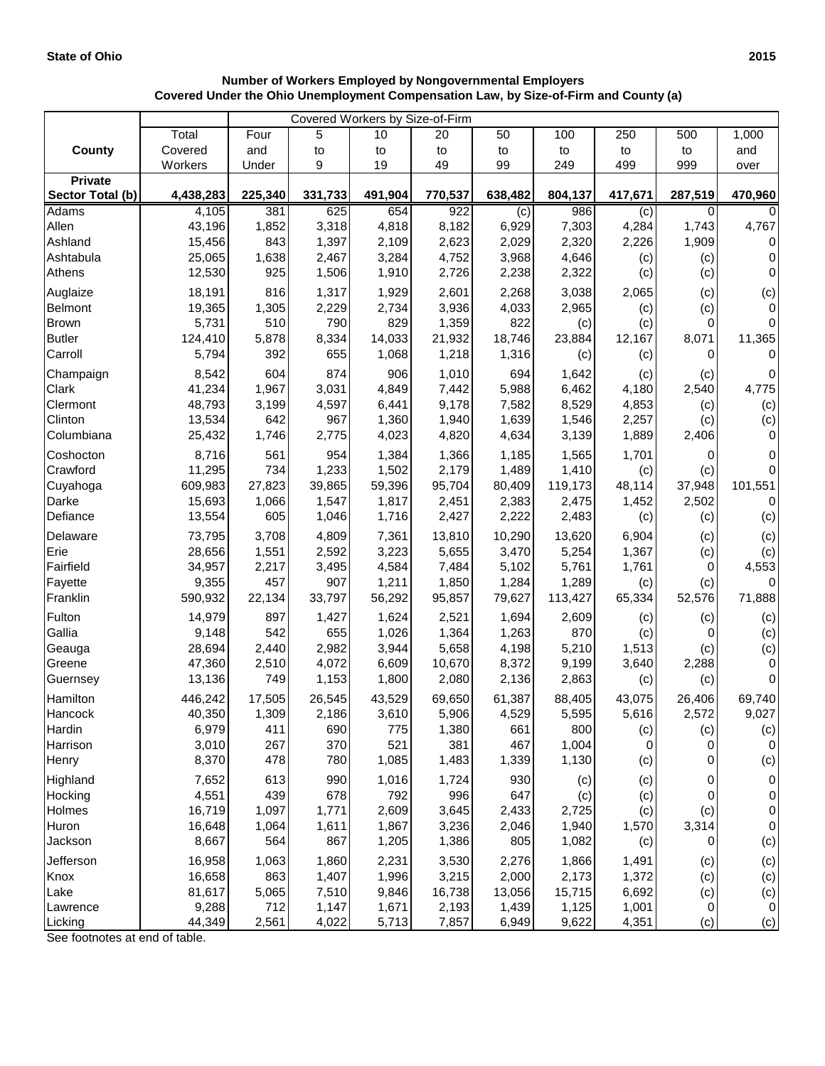## **Number of Workers Employed by Nongovernmental Employers Covered Under the Ohio Unemployment Compensation Law, by Size-of-Firm and County (a)**

|                     | Covered Workers by Size-of-Firm |              |                |                |                |                |                |                |          |                    |  |
|---------------------|---------------------------------|--------------|----------------|----------------|----------------|----------------|----------------|----------------|----------|--------------------|--|
|                     | Total                           | Four         | 5              | 10             | 20             | 50             | 100            | 250            | 500      | 1,000              |  |
| <b>County</b>       | Covered                         | and          | to             | to             | to             | to             | to             | to             | to       | and                |  |
|                     | Workers                         | Under        | 9              | 19             | 49             | 99             | 249            | 499            | 999      | over               |  |
| <b>Private</b>      |                                 |              |                |                |                |                |                |                |          |                    |  |
| Sector Total (b)    | 4,438,283                       | 225,340      | 331,733        | 491,904        | 770,537        | 638,482        | 804,137        | 417,671        | 287,519  | 470,960            |  |
| <b>Adams</b>        | 4,105                           | 381          | 625            | 654            | 922            | (c)            | 986            | (c)            | 0        |                    |  |
| Allen               | 43,196                          | 1,852        | 3,318          | 4,818          | 8,182          | 6,929          | 7,303          | 4,284          | 1,743    | 4,767              |  |
| Ashland             | 15,456                          | 843          | 1,397          | 2,109          | 2,623          | 2,029          | 2,320          | 2,226          | 1,909    | 0                  |  |
| Ashtabula           | 25,065                          | 1,638        | 2,467          | 3,284          | 4,752          | 3,968          | 4,646          | (c)            | (c)      | $\mathbf 0$        |  |
| Athens              | 12,530                          | 925          | 1,506          | 1,910          | 2,726          | 2,238          | 2,322          | (c)            | (c)      | 0                  |  |
| Auglaize            | 18,191                          | 816          | 1,317          | 1,929          | 2,601          | 2,268          | 3,038          | 2,065          | (c)      | (c)                |  |
| Belmont             | 19,365                          | 1,305        | 2,229          | 2,734          | 3,936          | 4,033          | 2,965          | (c)            | (c)      | 0                  |  |
| <b>Brown</b>        | 5,731                           | 510          | 790            | 829            | 1,359          | 822            | (c)            | (c)            | 0        | $\Omega$           |  |
| <b>Butler</b>       | 124,410                         | 5,878        | 8,334          | 14,033         | 21,932         | 18,746         | 23,884         | 12,167         | 8,071    | 11,365             |  |
| Carroll             | 5,794                           | 392          | 655            | 1,068          | 1,218          | 1,316          | (c)            | (c)            | 0        | $\Omega$           |  |
| Champaign           | 8,542                           | 604          | 874            | 906            | 1,010          | 694            | 1,642          | (c)            | (c)      | $\pmb{0}$          |  |
| Clark               | 41,234                          | 1,967        | 3,031          | 4,849          | 7,442          | 5,988          | 6,462          | 4,180          | 2,540    | 4,775              |  |
| Clermont            | 48,793                          | 3,199        | 4,597          | 6,441          | 9,178          | 7,582          | 8,529          | 4,853          | (c)      | (c)                |  |
| Clinton             | 13,534                          | 642          | 967            | 1,360          | 1,940          | 1,639          | 1,546          | 2,257          | (c)      | (c)                |  |
| Columbiana          | 25,432                          | 1,746        | 2,775          | 4,023          | 4,820          | 4,634          | 3,139          | 1,889          | 2,406    | 0                  |  |
| Coshocton           | 8,716                           | 561          | 954            | 1,384          | 1,366          | 1,185          | 1,565          | 1,701          | 0        | 0                  |  |
| Crawford            | 11,295                          | 734          | 1,233          | 1,502          | 2,179          | 1,489          | 1,410          | (c)            | (c)      | 0                  |  |
| Cuyahoga            | 609,983                         | 27,823       | 39,865         | 59,396         | 95,704         | 80,409         | 119,173        | 48,114         | 37,948   | 101,551            |  |
| Darke               | 15,693                          | 1,066        | 1,547          | 1,817          | 2,451          | 2,383          | 2,475          | 1,452          | 2,502    | 0                  |  |
| Defiance            | 13,554                          | 605          | 1,046          | 1,716          | 2,427          | 2,222          | 2,483          | (c)            | (c)      | (c)                |  |
| Delaware            | 73,795                          | 3,708        | 4,809          | 7,361          | 13,810         | 10,290         | 13,620         | 6,904          | (c)      | (c)                |  |
| Erie                | 28,656                          | 1,551        | 2,592          | 3,223          | 5,655          | 3,470          | 5,254          | 1,367          | (c)      | (c)                |  |
| Fairfield           | 34,957                          | 2,217        | 3,495          | 4,584          | 7,484          | 5,102          | 5,761          | 1,761          | 0        | 4,553              |  |
| Fayette             | 9,355                           | 457          | 907            | 1,211          | 1,850          | 1,284          | 1,289          | (c)            | (c)      | 0                  |  |
| Franklin            | 590,932                         | 22,134       | 33,797         | 56,292         | 95,857         | 79,627         | 113,427        | 65,334         | 52,576   | 71,888             |  |
| Fulton              | 14,979                          | 897          | 1,427          | 1,624          | 2,521          | 1,694          | 2,609          | (c)            | (c)      | (c)                |  |
| Gallia              | 9,148                           | 542          | 655            | 1,026          | 1,364          | 1,263          | 870            | (c)            | 0        | (c)                |  |
| Geauga              | 28,694                          | 2,440        | 2,982          | 3,944          | 5,658          | 4,198          | 5,210          | 1,513          | (c)      | (c)                |  |
| Greene              | 47,360                          | 2,510        | 4,072          | 6,609          | 10,670         | 8,372          | 9,199          | 3,640          | 2,288    | $\pmb{0}$          |  |
| Guernsey            | 13,136                          | 749          | 1,153          | 1,800          | 2,080          | 2,136          | 2,863          | (c)            | (c)      | 0                  |  |
| Hamilton            | 446,242                         | 17,505       | 26,545         | 43,529         | 69,650         | 61,387         | 88,405         | 43,075         | 26,406   | 69,740             |  |
| Hancock             | 40,350                          | 1,309        | 2,186          | 3,610          | 5,906          | 4,529          | 5,595          | 5,616          | 2,572    | 9,027              |  |
| Hardin              | 6,979                           | 411          | 690            | 775            | 1,380          | 661            | 800            | (c)            | (c)      | (c)                |  |
| Harrison            | 3,010                           | 267          | 370            | 521            | 381            | 467            | 1,004          | 0              | 0        | $\mathbf 0$        |  |
| Henry               | 8,370                           | 478          | 780            | 1,085          | 1,483          | 1,339          | 1,130          | (c)            | 0        | (c)                |  |
| Highland            | 7,652                           | 613          | 990            | 1,016          | 1,724          | 930            |                |                |          | $\pmb{0}$          |  |
| Hocking             | 4,551                           | 439          | 678            | 792            | 996            | 647            | (c)<br>(c)     | (c)<br>(c)     | 0<br>0   | 0                  |  |
| Holmes              | 16,719                          | 1,097        | 1,771          | 2,609          | 3,645          | 2,433          | 2,725          | (c)            | (c)      | 0                  |  |
| Huron               | 16,648                          | 1,064        | 1,611          | 1,867          | 3,236          | 2,046          | 1,940          | 1,570          | 3,314    | 0                  |  |
| Jackson             | 8,667                           | 564          | 867            | 1,205          | 1,386          | 805            | 1,082          | (c)            | 0        | (c)                |  |
|                     |                                 |              |                |                |                |                |                |                |          |                    |  |
| Jefferson           | 16,958                          | 1,063        | 1,860          | 2,231          | 3,530          | 2,276          | 1,866          | 1,491          | (c)      | (c)                |  |
| Knox                | 16,658                          | 863          | 1,407          | 1,996          | 3,215          | 2,000          | 2,173          | 1,372          | (c)      | (c)                |  |
| Lake                | 81,617                          | 5,065        | 7,510          | 9,846          | 16,738         | 13,056         | 15,715         | 6,692          | (c)      | (c)                |  |
| Lawrence<br>Licking | 9,288<br>44,349                 | 712<br>2,561 | 1,147<br>4,022 | 1,671<br>5,713 | 2,193<br>7,857 | 1,439<br>6,949 | 1,125<br>9,622 | 1,001<br>4,351 | 0<br>(c) | $\mathbf 0$<br>(c) |  |
|                     |                                 |              |                |                |                |                |                |                |          |                    |  |

See footnotes at end of table.